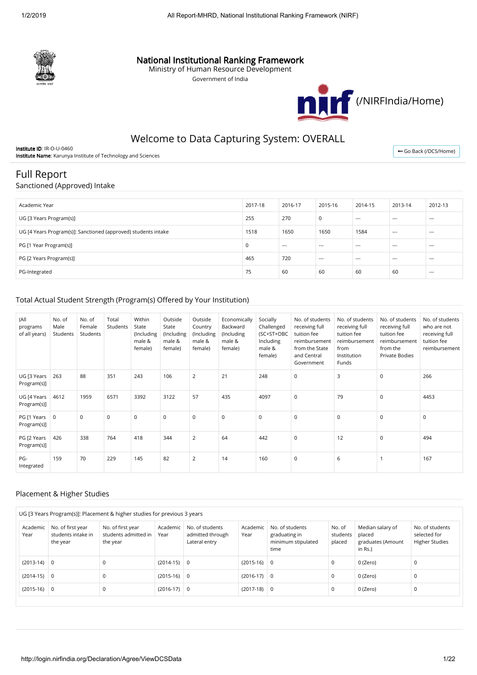

## National Institutional Ranking Framework

Ministry of Human Resource Development

Government of India



# Welcome to Data Capturing System: OVERALL

Institute ID: IR-O-U-0460 Institute Name: Karunya Institute of Technology and Sciences

← [Go Back \(/DCS/Home\)](http://login.nirfindia.org/DCS/Home)

## Full Report

#### Sanctioned (Approved) Intake

| Academic Year                                                  | 2017-18 | 2016-17 | 2015-16 | 2014-15 | 2013-14 | 2012-13 |
|----------------------------------------------------------------|---------|---------|---------|---------|---------|---------|
| UG [3 Years Program(s)]                                        | 255     | 270     | 0       | $- - -$ | $---$   | $---$   |
| UG [4 Years Program(s)]: Sanctioned (approved) students intake | 1518    | 1650    | 1650    | 1584    | $---$   | $- - -$ |
| PG [1 Year Program(s)]                                         | C       | $---$   | $- - -$ | $- - -$ | $---$   | $- - -$ |
| PG [2 Years Program(s)]                                        | 465     | 720     | $- - -$ | $- - -$ | $---$   | $- - -$ |
| PG-Integrated                                                  | 75      | 60      | 60      | 60      | 60      | $- - -$ |

## Total Actual Student Strength (Program(s) Offered by Your Institution)

| (All<br>programs<br>of all years) | No. of<br>Male<br>Students | No. of<br>Female<br>Students | Total<br>Students | Within<br>State<br>(Including<br>male &<br>female) | Outside<br>State<br>(Including<br>male &<br>female) | Outside<br>Country<br>(Including<br>male &<br>female) | Economically<br>Backward<br>(Including<br>male &<br>female) | Socially<br>Challenged<br>(SC+ST+OBC<br>Including<br>male &<br>female) | No. of students<br>receiving full<br>tuition fee<br>reimbursement<br>from the State<br>and Central<br>Government | No. of students<br>receiving full<br>tuition fee<br>reimbursement<br>from<br>Institution<br>Funds | No. of students<br>receiving full<br>tuition fee<br>reimbursement<br>from the<br><b>Private Bodies</b> | No. of students<br>who are not<br>receiving full<br>tuition fee<br>reimbursement |
|-----------------------------------|----------------------------|------------------------------|-------------------|----------------------------------------------------|-----------------------------------------------------|-------------------------------------------------------|-------------------------------------------------------------|------------------------------------------------------------------------|------------------------------------------------------------------------------------------------------------------|---------------------------------------------------------------------------------------------------|--------------------------------------------------------------------------------------------------------|----------------------------------------------------------------------------------|
| UG [3 Years<br>Program(s)]        | 263                        | 88                           | 351               | 243                                                | 106                                                 | $\overline{2}$                                        | 21                                                          | 248                                                                    | $\mathbf 0$                                                                                                      | 3                                                                                                 | $\mathsf 0$                                                                                            | 266                                                                              |
| UG [4 Years<br>Program(s)]        | 4612                       | 1959                         | 6571              | 3392                                               | 3122                                                | 57                                                    | 435                                                         | 4097                                                                   | $\mathbf 0$                                                                                                      | 79                                                                                                | $\mathsf 0$                                                                                            | 4453                                                                             |
| PG [1 Years<br>Program(s)]        | $\overline{0}$             | $\mathbf 0$                  | $\Omega$          | 0                                                  | $\mathbf 0$                                         | $\mathbf 0$                                           | $\mathbf 0$                                                 | $\mathbf 0$                                                            | $\mathbf 0$                                                                                                      | $\mathbf 0$                                                                                       | $\mathbf 0$                                                                                            | $\mathsf 0$                                                                      |
| PG [2 Years<br>Program(s)]        | 426                        | 338                          | 764               | 418                                                | 344                                                 | $\overline{2}$                                        | 64                                                          | 442                                                                    | $\mathbf 0$                                                                                                      | 12                                                                                                | $\mathbf 0$                                                                                            | 494                                                                              |
| PG-<br>Integrated                 | 159                        | 70                           | 229               | 145                                                | 82                                                  | $\overline{2}$                                        | 14                                                          | 160                                                                    | $\mathbf 0$                                                                                                      | 6                                                                                                 |                                                                                                        | 167                                                                              |

#### Placement & Higher Studies

|                  |                                                     | UG [3 Years Program(s)]: Placement & higher studies for previous 3 years |                  |                                                      |                  |                                                                |                              |                                                            |                                                          |
|------------------|-----------------------------------------------------|--------------------------------------------------------------------------|------------------|------------------------------------------------------|------------------|----------------------------------------------------------------|------------------------------|------------------------------------------------------------|----------------------------------------------------------|
| Academic<br>Year | No. of first year<br>students intake in<br>the year | No. of first year<br>students admitted in<br>the year                    | Academic<br>Year | No. of students<br>admitted through<br>Lateral entry | Academic<br>Year | No. of students<br>graduating in<br>minimum stipulated<br>time | No. of<br>students<br>placed | Median salary of<br>placed<br>graduates (Amount<br>in Rs.) | No. of students<br>selected for<br><b>Higher Studies</b> |
| $(2013-14)$ 0    |                                                     | $\mathbf 0$                                                              | $(2014-15)$ 0    |                                                      | $(2015-16)$ 0    |                                                                | 0                            | 0 (Zero)                                                   | 0                                                        |
| $(2014-15)$ 0    |                                                     | $\mathbf 0$                                                              | $(2015-16)$ 0    |                                                      | $(2016-17)$ 0    |                                                                | 0                            | 0 (Zero)                                                   | 0                                                        |
| $(2015-16)$ 0    |                                                     | $\mathbf 0$                                                              | $(2016-17)$ 0    |                                                      | $(2017-18)$ 0    |                                                                | 0                            | 0 (Zero)                                                   | 0                                                        |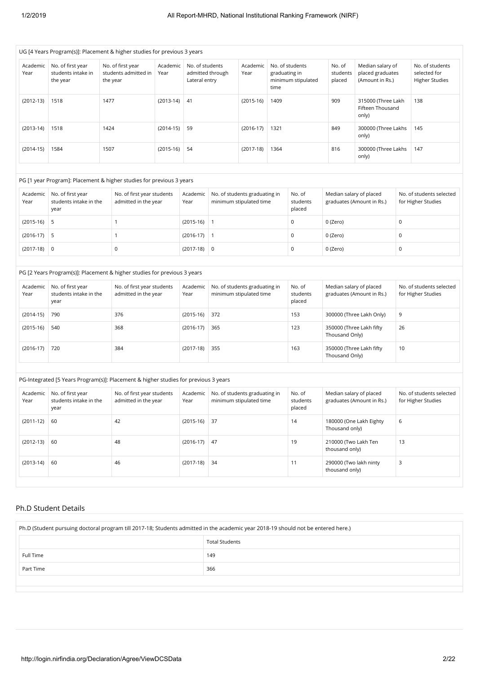| Academic<br>Year | No. of first year<br>students intake in<br>the year | No. of first year<br>students admitted in<br>the year                                                                                     | Academic<br>Year | No. of students<br>Lateral entry | admitted through | Academic<br>Year                                         | graduating in<br>time | No. of students<br>minimum stipulated | No. of<br>students<br>placed                           | Median salary of<br>placed graduates<br>(Amount in Rs.) |             | No. of students<br>selected for<br><b>Higher Studies</b> |
|------------------|-----------------------------------------------------|-------------------------------------------------------------------------------------------------------------------------------------------|------------------|----------------------------------|------------------|----------------------------------------------------------|-----------------------|---------------------------------------|--------------------------------------------------------|---------------------------------------------------------|-------------|----------------------------------------------------------|
| $(2012-13)$      | 1518                                                | 1477                                                                                                                                      | $(2013-14)$      | 41                               |                  | $(2015-16)$                                              | 1409                  |                                       | 909<br>315000 (Three Lakh<br>Fifteen Thousand<br>only) |                                                         |             | 138                                                      |
| $(2013-14)$      | 1518                                                | 1424                                                                                                                                      | $(2014-15)$      | 59                               |                  | $(2016-17)$                                              | 1321                  |                                       | 849<br>300000 (Three Lakhs<br>only)                    |                                                         |             | 145                                                      |
| $(2014-15)$      | 1584                                                | 1507                                                                                                                                      | $(2015-16)$      | 54                               |                  | $(2017-18)$                                              | 1364                  |                                       | 816                                                    | 300000 (Three Lakhs<br>only)                            |             | 147                                                      |
|                  |                                                     | PG [1 year Program]: Placement & higher studies for previous 3 years                                                                      |                  |                                  |                  |                                                          |                       |                                       |                                                        |                                                         |             |                                                          |
| Academic<br>Year | No. of first year<br>students intake in the<br>year | No. of first year students<br>admitted in the year                                                                                        |                  | Academic<br>Year                 |                  | No. of students graduating in<br>minimum stipulated time |                       | No. of<br>students<br>placed          | Median salary of placed                                | graduates (Amount in Rs.)                               |             | No. of students selected<br>for Higher Studies           |
| $(2015-16)$      | 5                                                   | $\mathbf{1}$                                                                                                                              |                  | $(2015-16)$                      | $\mathbf{1}$     |                                                          |                       | $\mathbf 0$                           | 0 (Zero)                                               |                                                         | $\mathsf 0$ |                                                          |
| $(2016-17)$      | 5                                                   | $\mathbf{1}$                                                                                                                              |                  | $(2016-17)$                      | $\mathbf{1}$     |                                                          |                       | $\pmb{0}$                             | 0 (Zero)                                               |                                                         | $\mathbf 0$ |                                                          |
| $(2017-18)$      | $\mathsf 0$                                         | 0                                                                                                                                         |                  | $(2017-18)$                      | $\mathsf 0$      |                                                          |                       | $\mathsf 0$                           | 0 (Zero)                                               |                                                         | $\mathsf 0$ |                                                          |
|                  |                                                     | PG [2 Years Program(s)]: Placement & higher studies for previous 3 years                                                                  |                  |                                  |                  |                                                          |                       |                                       |                                                        |                                                         |             |                                                          |
| Academic<br>Year | No. of first year<br>students intake in the<br>year | No. of first year students<br>admitted in the year                                                                                        |                  | Academic<br>Year                 |                  | No. of students graduating in<br>minimum stipulated time |                       | No. of<br>students<br>placed          | Median salary of placed                                | graduates (Amount in Rs.)                               |             | No. of students selected<br>for Higher Studies           |
| $(2014-15)$      | 790                                                 | 376                                                                                                                                       |                  | $(2015-16)$                      | 372              |                                                          |                       | 153                                   |                                                        | 300000 (Three Lakh Only)                                | 9           |                                                          |
| $(2015-16)$      | 540                                                 | 368                                                                                                                                       |                  | $(2016-17)$                      | 365              |                                                          |                       | 123                                   | 350000 (Three Lakh fifty<br>Thousand Only)             |                                                         | 26          |                                                          |
| $(2016-17)$      | 720                                                 | 384                                                                                                                                       |                  | $(2017-18)$                      | 355              |                                                          |                       | 163                                   | 350000 (Three Lakh fifty<br>Thousand Only)             |                                                         | 10          |                                                          |
|                  |                                                     |                                                                                                                                           |                  |                                  |                  |                                                          |                       |                                       |                                                        |                                                         |             |                                                          |
|                  |                                                     |                                                                                                                                           |                  |                                  |                  |                                                          |                       |                                       |                                                        |                                                         |             |                                                          |
| Academic<br>Year | No. of first year<br>students intake in the<br>year | PG-Integrated [5 Years Program(s)]: Placement & higher studies for previous 3 years<br>No. of first year students<br>admitted in the year |                  | Academic<br>Year                 |                  | No. of students graduating in<br>minimum stipulated time |                       | No. of<br>students<br>placed          | Median salary of placed                                | graduates (Amount in Rs.)                               |             | No. of students selected<br>for Higher Studies           |
| $(2011-12)$      | 60                                                  | 42                                                                                                                                        |                  | $(2015-16)$                      | 37               |                                                          |                       | 14                                    | Thousand only)                                         | 180000 (One Lakh Eighty                                 | 6           |                                                          |
| $(2012-13)$      | 60                                                  | 48                                                                                                                                        |                  | $(2016-17)$                      | 47               |                                                          |                       | 19                                    | 210000 (Two Lakh Ten<br>thousand only)                 |                                                         | 13          |                                                          |

#### Ph.D Student Details

| Ph.D (Student pursuing doctoral program till 2017-18; Students admitted in the academic year 2018-19 should not be entered here.) |                       |  |  |  |  |
|-----------------------------------------------------------------------------------------------------------------------------------|-----------------------|--|--|--|--|
|                                                                                                                                   | <b>Total Students</b> |  |  |  |  |
| Full Time                                                                                                                         | 149                   |  |  |  |  |
| Part Time                                                                                                                         | 366                   |  |  |  |  |
|                                                                                                                                   |                       |  |  |  |  |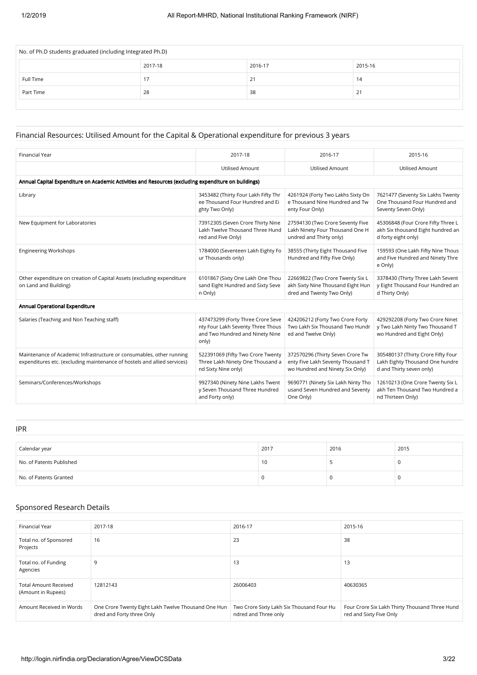| No. of Ph.D students graduated (including Integrated Ph.D) |         |         |         |  |  |  |  |
|------------------------------------------------------------|---------|---------|---------|--|--|--|--|
|                                                            | 2017-18 | 2016-17 | 2015-16 |  |  |  |  |
| Full Time                                                  |         | 21      | 14      |  |  |  |  |
| Part Time                                                  | 28      | 38      | 21      |  |  |  |  |
|                                                            |         |         |         |  |  |  |  |

#### Financial Resources: Utilised Amount for the Capital & Operational expenditure for previous 3 years

| <b>Financial Year</b>                                                                                                                            | 2017-18                                                                                                            | 2016-17                                                                                                  | 2015-16                                                                                           |  |  |  |  |  |
|--------------------------------------------------------------------------------------------------------------------------------------------------|--------------------------------------------------------------------------------------------------------------------|----------------------------------------------------------------------------------------------------------|---------------------------------------------------------------------------------------------------|--|--|--|--|--|
|                                                                                                                                                  | <b>Utilised Amount</b>                                                                                             | <b>Utilised Amount</b>                                                                                   | <b>Utilised Amount</b>                                                                            |  |  |  |  |  |
| Annual Capital Expenditure on Academic Activities and Resources (excluding expenditure on buildings)                                             |                                                                                                                    |                                                                                                          |                                                                                                   |  |  |  |  |  |
| Library                                                                                                                                          | 3453482 (Thirty Four Lakh Fifty Thr<br>ee Thousand Four Hundred and Ei<br>ghty Two Only)                           | 4261924 (Forty Two Lakhs Sixty On<br>e Thousand Nine Hundred and Tw<br>enty Four Only)                   | 7621477 (Seventy Six Lakhs Twenty<br>One Thousand Four Hundred and<br>Seventy Seven Only)         |  |  |  |  |  |
| New Equipment for Laboratories                                                                                                                   | 73912305 (Seven Crore Thirty Nine<br>Lakh Twelve Thousand Three Hund<br>red and Five Only)                         | 27594130 (Two Crore Seventy Five<br>Lakh Ninety Four Thousand One H<br>undred and Thirty only)           | 45306848 (Four Crore Fifty Three L<br>akh Six thousand Eight hundred an<br>d forty eight only)    |  |  |  |  |  |
| <b>Engineering Workshops</b>                                                                                                                     | 1784000 (Seventeen Lakh Eighty Fo<br>ur Thousands only)                                                            | 38555 (Thirty Eight Thousand Five<br>Hundred and Fifty Five Only)                                        | 159593 (One Lakh Fifty Nine Thous<br>and Five Hundred and Ninety Thre<br>e Only)                  |  |  |  |  |  |
| Other expenditure on creation of Capital Assets (excluding expenditure<br>on Land and Building)                                                  | 6101867 (Sixty One Lakh One Thou<br>sand Eight Hundred and Sixty Seve<br>n Only)                                   | 22669822 (Two Crore Twenty Six L<br>akh Sixty Nine Thousand Eight Hun<br>dred and Twenty Two Only)       | 3378430 (Thirty Three Lakh Sevent<br>y Eight Thousand Four Hundred an<br>d Thirty Only)           |  |  |  |  |  |
| Annual Operational Expenditure                                                                                                                   |                                                                                                                    |                                                                                                          |                                                                                                   |  |  |  |  |  |
| Salaries (Teaching and Non Teaching staff)                                                                                                       | 437473299 (Forty Three Crore Seve<br>nty Four Lakh Seventy Three Thous<br>and Two Hundred and Ninety Nine<br>only) | 424206212 (Forty Two Crore Forty<br>Two Lakh Six Thousand Two Hundr<br>ed and Twelve Only)               | 429292208 (Forty Two Crore Ninet<br>y Two Lakh Ninty Two Thousand T<br>wo Hundred and Eight Only) |  |  |  |  |  |
| Maintenance of Academic Infrastructure or consumables, other running<br>expenditures etc. (excluding maintenance of hostels and allied services) | 522391069 (Fifty Two Crore Twenty<br>Three Lakh Ninety One Thousand a<br>nd Sixty Nine only)                       | 372570296 (Thirty Seven Crore Tw<br>enty Five Lakh Seventy Thousand T<br>wo Hundred and Ninety Six Only) | 305480137 (Thirty Crore Fifty Four<br>Lakh Eighty Thousand One hundre<br>d and Thirty seven only) |  |  |  |  |  |
| Seminars/Conferences/Workshops                                                                                                                   | 9927340 (Ninety Nine Lakhs Twent<br>y Seven Thousand Three Hundred<br>and Forty only)                              | 9690771 (Ninety Six Lakh Ninty Tho<br>usand Seven Hundred and Seventy<br>One Only)                       | 12610213 (One Crore Twenty Six L<br>akh Ten Thousand Two Hundred a<br>nd Thirteen Only)           |  |  |  |  |  |

IPR

| Calendar year            | 2017 | 2016 | 2015 |
|--------------------------|------|------|------|
| No. of Patents Published | 10   |      | u    |
| No. of Patents Granted   |      |      |      |

#### Sponsored Research Details

| <b>Financial Year</b>                              | 2017-18                                                                          | 2016-17                                                           | 2015-16                                                                   |
|----------------------------------------------------|----------------------------------------------------------------------------------|-------------------------------------------------------------------|---------------------------------------------------------------------------|
| Total no. of Sponsored<br>Projects                 | 16                                                                               | 23                                                                | 38                                                                        |
| Total no. of Funding<br>Agencies                   | g                                                                                | 13                                                                | 13                                                                        |
| <b>Total Amount Received</b><br>(Amount in Rupees) | 12812143                                                                         | 26006403                                                          | 40630365                                                                  |
| Amount Received in Words                           | One Crore Twenty Eight Lakh Twelve Thousand One Hun<br>dred and Forty three Only | Two Crore Sixty Lakh Six Thousand Four Hu<br>ndred and Three only | Four Crore Six Lakh Thirty Thousand Three Hund<br>red and Sixty Five Only |